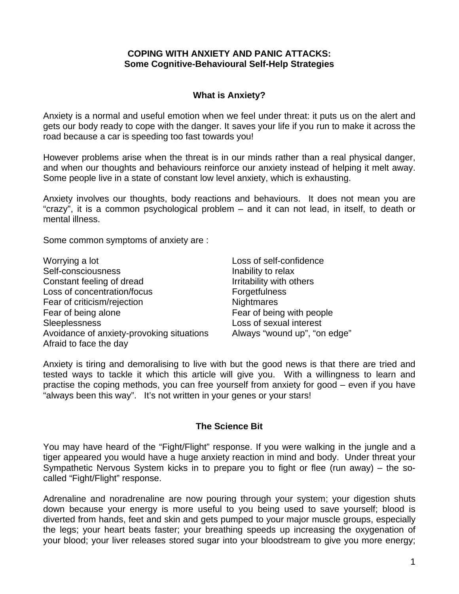#### **COPING WITH ANXIETY AND PANIC ATTACKS: Some Cognitive-Behavioural Self-Help Strategies**

## **What is Anxiety?**

Anxiety is a normal and useful emotion when we feel under threat: it puts us on the alert and gets our body ready to cope with the danger. It saves your life if you run to make it across the road because a car is speeding too fast towards you!

However problems arise when the threat is in our minds rather than a real physical danger, and when our thoughts and behaviours reinforce our anxiety instead of helping it melt away. Some people live in a state of constant low level anxiety, which is exhausting.

Anxiety involves our thoughts, body reactions and behaviours. It does not mean you are "crazy", it is a common psychological problem – and it can not lead, in itself, to death or mental illness.

Some common symptoms of anxiety are :

| Worrying a lot                            | Loss of self-confidence      |  |
|-------------------------------------------|------------------------------|--|
| Self-consciousness                        | Inability to relax           |  |
| Constant feeling of dread                 | Irritability with others     |  |
| Loss of concentration/focus               | Forgetfulness                |  |
| Fear of criticism/rejection               | <b>Nightmares</b>            |  |
| Fear of being alone                       | Fear of being with people    |  |
| Sleeplessness                             | Loss of sexual interest      |  |
| Avoidance of anxiety-provoking situations | Always "wound up", "on edge" |  |
| Afraid to face the day                    |                              |  |

Anxiety is tiring and demoralising to live with but the good news is that there are tried and tested ways to tackle it which this article will give you. With a willingness to learn and practise the coping methods, you can free yourself from anxiety for good – even if you have "always been this way". It's not written in your genes or your stars!

#### **The Science Bit**

You may have heard of the "Fight/Flight" response. If you were walking in the jungle and a tiger appeared you would have a huge anxiety reaction in mind and body. Under threat your Sympathetic Nervous System kicks in to prepare you to fight or flee (run away) – the socalled "Fight/Flight" response.

Adrenaline and noradrenaline are now pouring through your system; your digestion shuts down because your energy is more useful to you being used to save yourself; blood is diverted from hands, feet and skin and gets pumped to your major muscle groups, especially the legs; your heart beats faster; your breathing speeds up increasing the oxygenation of your blood; your liver releases stored sugar into your bloodstream to give you more energy;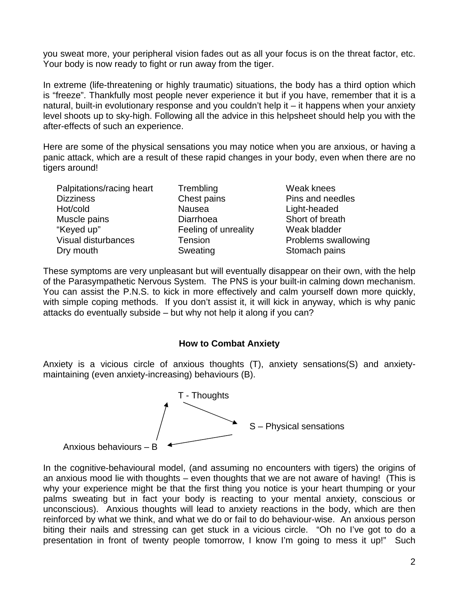you sweat more, your peripheral vision fades out as all your focus is on the threat factor, etc. Your body is now ready to fight or run away from the tiger.

In extreme (life-threatening or highly traumatic) situations, the body has a third option which is "freeze". Thankfully most people never experience it but if you have, remember that it is a natural, built-in evolutionary response and you couldn't help it – it happens when your anxiety level shoots up to sky-high. Following all the advice in this helpsheet should help you with the after-effects of such an experience.

Here are some of the physical sensations you may notice when you are anxious, or having a panic attack, which are a result of these rapid changes in your body, even when there are no tigers around!

| Palpitations/racing heart | Trembling            |
|---------------------------|----------------------|
| <b>Dizziness</b>          | Chest pains          |
| Hot/cold                  | <b>Nausea</b>        |
| Muscle pains              | Diarrhoea            |
| "Keyed up"                | Feeling of unreality |
| Visual disturbances       | Tension              |
| Dry mouth                 | Sweating             |

Weak knees Pins and needles Light-headed Short of breath Weak bladder Problems swallowing Stomach pains

These symptoms are very unpleasant but will eventually disappear on their own, with the help of the Parasympathetic Nervous System. The PNS is your built-in calming down mechanism. You can assist the P.N.S. to kick in more effectively and calm yourself down more quickly, with simple coping methods. If you don't assist it, it will kick in anyway, which is why panic attacks do eventually subside – but why not help it along if you can?

## **How to Combat Anxiety**

Anxiety is a vicious circle of anxious thoughts (T), anxiety sensations(S) and anxietymaintaining (even anxiety-increasing) behaviours (B).



In the cognitive-behavioural model, (and assuming no encounters with tigers) the origins of an anxious mood lie with thoughts – even thoughts that we are not aware of having! (This is why your experience might be that the first thing you notice is your heart thumping or your palms sweating but in fact your body is reacting to your mental anxiety, conscious or unconscious). Anxious thoughts will lead to anxiety reactions in the body, which are then reinforced by what we think, and what we do or fail to do behaviour-wise. An anxious person biting their nails and stressing can get stuck in a vicious circle. "Oh no I've got to do a presentation in front of twenty people tomorrow, I know I'm going to mess it up!" Such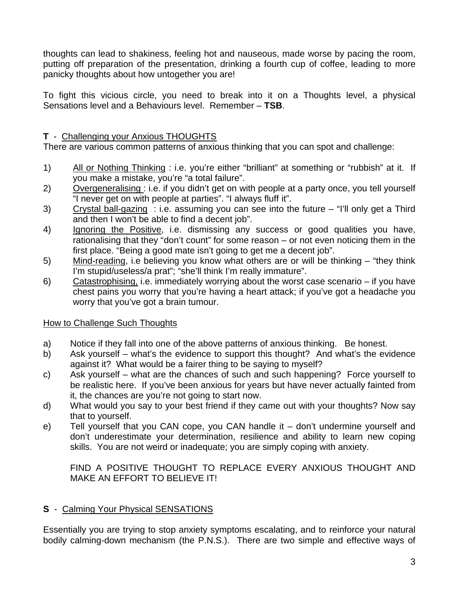thoughts can lead to shakiness, feeling hot and nauseous, made worse by pacing the room, putting off preparation of the presentation, drinking a fourth cup of coffee, leading to more panicky thoughts about how untogether you are!

To fight this vicious circle, you need to break into it on a Thoughts level, a physical Sensations level and a Behaviours level. Remember – **TSB**.

# **T** - Challenging your Anxious THOUGHTS

There are various common patterns of anxious thinking that you can spot and challenge:

- 1) All or Nothing Thinking : i.e. you're either "brilliant" at something or "rubbish" at it. If you make a mistake, you're "a total failure".
- 2) Overgeneralising : i.e. if you didn't get on with people at a party once, you tell yourself "I never get on with people at parties". "I always fluff it".
- 3) Crystal ball-gazing : i.e. assuming you can see into the future "I'll only get a Third and then I won't be able to find a decent job".
- 4) Ignoring the Positive, i.e. dismissing any success or good qualities you have, rationalising that they "don't count" for some reason – or not even noticing them in the first place. "Being a good mate isn't going to get me a decent job".
- 5) Mind-reading, i.e believing you know what others are or will be thinking "they think I'm stupid/useless/a prat"; "she'll think I'm really immature".
- 6) Catastrophising, i.e. immediately worrying about the worst case scenario if you have chest pains you worry that you're having a heart attack; if you've got a headache you worry that you've got a brain tumour.

## How to Challenge Such Thoughts

- a) Notice if they fall into one of the above patterns of anxious thinking. Be honest.
- b) Ask yourself what's the evidence to support this thought? And what's the evidence against it? What would be a fairer thing to be saying to myself?
- c) Ask yourself what are the chances of such and such happening? Force yourself to be realistic here. If you've been anxious for years but have never actually fainted from it, the chances are you're not going to start now.
- d) What would you say to your best friend if they came out with your thoughts? Now say that to yourself.
- e) Tell yourself that you CAN cope, you CAN handle it don't undermine yourself and don't underestimate your determination, resilience and ability to learn new coping skills. You are not weird or inadequate; you are simply coping with anxiety.

FIND A POSITIVE THOUGHT TO REPLACE EVERY ANXIOUS THOUGHT AND MAKE AN EFFORT TO BELIEVE IT!

# **S** - Calming Your Physical SENSATIONS

Essentially you are trying to stop anxiety symptoms escalating, and to reinforce your natural bodily calming-down mechanism (the P.N.S.). There are two simple and effective ways of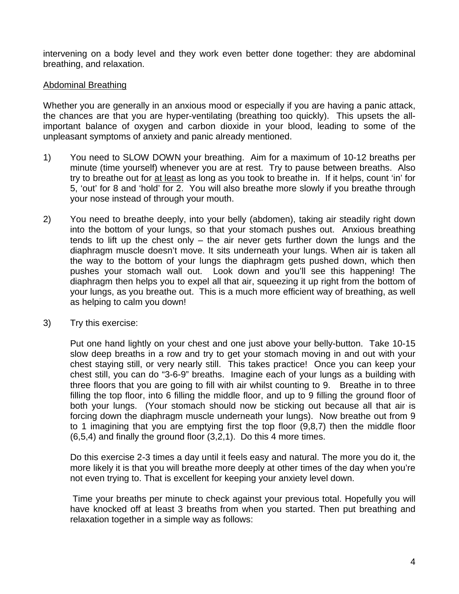intervening on a body level and they work even better done together: they are abdominal breathing, and relaxation.

## Abdominal Breathing

Whether you are generally in an anxious mood or especially if you are having a panic attack, the chances are that you are hyper-ventilating (breathing too quickly). This upsets the allimportant balance of oxygen and carbon dioxide in your blood, leading to some of the unpleasant symptoms of anxiety and panic already mentioned.

- 1) You need to SLOW DOWN your breathing. Aim for a maximum of 10-12 breaths per minute (time yourself) whenever you are at rest. Try to pause between breaths. Also try to breathe out for at least as long as you took to breathe in. If it helps, count 'in' for 5, 'out' for 8 and 'hold' for 2. You will also breathe more slowly if you breathe through your nose instead of through your mouth.
- 2) You need to breathe deeply, into your belly (abdomen), taking air steadily right down into the bottom of your lungs, so that your stomach pushes out. Anxious breathing tends to lift up the chest only  $-$  the air never gets further down the lungs and the diaphragm muscle doesn't move. It sits underneath your lungs. When air is taken all the way to the bottom of your lungs the diaphragm gets pushed down, which then pushes your stomach wall out. Look down and you'll see this happening! The diaphragm then helps you to expel all that air, squeezing it up right from the bottom of your lungs, as you breathe out. This is a much more efficient way of breathing, as well as helping to calm you down!
- 3) Try this exercise:

Put one hand lightly on your chest and one just above your belly-button. Take 10-15 slow deep breaths in a row and try to get your stomach moving in and out with your chest staying still, or very nearly still. This takes practice! Once you can keep your chest still, you can do "3-6-9" breaths. Imagine each of your lungs as a building with three floors that you are going to fill with air whilst counting to 9. Breathe in to three filling the top floor, into 6 filling the middle floor, and up to 9 filling the ground floor of both your lungs. (Your stomach should now be sticking out because all that air is forcing down the diaphragm muscle underneath your lungs). Now breathe out from 9 to 1 imagining that you are emptying first the top floor (9,8,7) then the middle floor (6,5,4) and finally the ground floor (3,2,1). Do this 4 more times.

Do this exercise 2-3 times a day until it feels easy and natural. The more you do it, the more likely it is that you will breathe more deeply at other times of the day when you're not even trying to. That is excellent for keeping your anxiety level down.

 Time your breaths per minute to check against your previous total. Hopefully you will have knocked off at least 3 breaths from when you started. Then put breathing and relaxation together in a simple way as follows: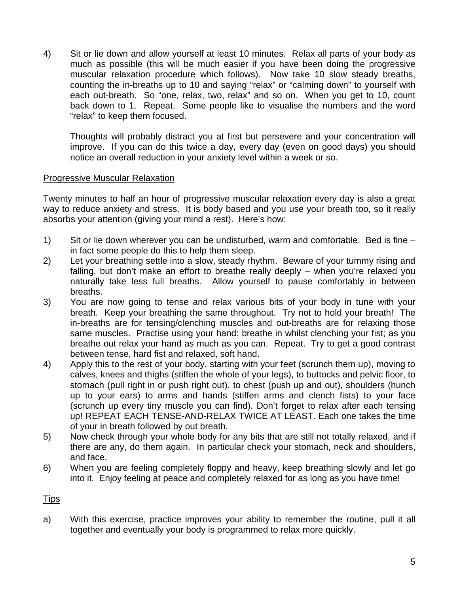4) Sit or lie down and allow yourself at least 10 minutes. Relax all parts of your body as much as possible (this will be much easier if you have been doing the progressive muscular relaxation procedure which follows). Now take 10 slow steady breaths, counting the in-breaths up to 10 and saying "relax" or "calming down" to yourself with each out-breath. So "one, relax, two, relax" and so on. When you get to 10, count back down to 1. Repeat. Some people like to visualise the numbers and the word "relax" to keep them focused.

Thoughts will probably distract you at first but persevere and your concentration will improve. If you can do this twice a day, every day (even on good days) you should notice an overall reduction in your anxiety level within a week or so.

#### Progressive Muscular Relaxation

Twenty minutes to half an hour of progressive muscular relaxation every day is also a great way to reduce anxiety and stress. It is body based and you use your breath too, so it really absorbs your attention (giving your mind a rest). Here's how:

- 1) Sit or lie down wherever you can be undisturbed, warm and comfortable. Bed is fine in fact some people do this to help them sleep.
- 2) Let your breathing settle into a slow, steady rhythm. Beware of your tummy rising and falling, but don't make an effort to breathe really deeply – when you're relaxed you naturally take less full breaths. Allow yourself to pause comfortably in between breaths.
- 3) You are now going to tense and relax various bits of your body in tune with your breath. Keep your breathing the same throughout. Try not to hold your breath! The in-breaths are for tensing/clenching muscles and out-breaths are for relaxing those same muscles. Practise using your hand: breathe in whilst clenching your fist; as you breathe out relax your hand as much as you can. Repeat. Try to get a good contrast between tense, hard fist and relaxed, soft hand.
- 4) Apply this to the rest of your body, starting with your feet (scrunch them up), moving to calves, knees and thighs (stiffen the whole of your legs), to buttocks and pelvic floor, to stomach (pull right in or push right out), to chest (push up and out), shoulders (hunch up to your ears) to arms and hands (stiffen arms and clench fists) to your face (scrunch up every tiny muscle you can find). Don't forget to relax after each tensing up! REPEAT EACH TENSE-AND-RELAX TWICE AT LEAST. Each one takes the time of your in breath followed by out breath.
- 5) Now check through your whole body for any bits that are still not totally relaxed, and if there are any, do them again. In particular check your stomach, neck and shoulders, and face.
- 6) When you are feeling completely floppy and heavy, keep breathing slowly and let go into it. Enjoy feeling at peace and completely relaxed for as long as you have time!

## **Tips**

a) With this exercise, practice improves your ability to remember the routine, pull it all together and eventually your body is programmed to relax more quickly.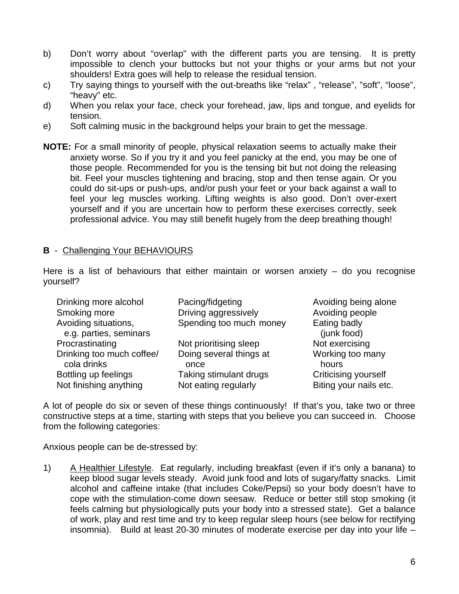- b) Don't worry about "overlap" with the different parts you are tensing. It is pretty impossible to clench your buttocks but not your thighs or your arms but not your shoulders! Extra goes will help to release the residual tension.
- c) Try saying things to yourself with the out-breaths like "relax" , "release", "soft", "loose", "heavy" etc.
- d) When you relax your face, check your forehead, jaw, lips and tongue, and eyelids for tension.
- e) Soft calming music in the background helps your brain to get the message.
- **NOTE:** For a small minority of people, physical relaxation seems to actually make their anxiety worse. So if you try it and you feel panicky at the end, you may be one of those people. Recommended for you is the tensing bit but not doing the releasing bit. Feel your muscles tightening and bracing, stop and then tense again. Or you could do sit-ups or push-ups, and/or push your feet or your back against a wall to feel your leg muscles working. Lifting weights is also good. Don't over-exert yourself and if you are uncertain how to perform these exercises correctly, seek professional advice. You may still benefit hugely from the deep breathing though!

## **B** - Challenging Your BEHAVIOURS

Here is a list of behaviours that either maintain or worsen anxiety – do you recognise yourself?

| Drinking more alcohol                                                                 | Pacing/fidgeting                                          | Avoiding being alone                                       |
|---------------------------------------------------------------------------------------|-----------------------------------------------------------|------------------------------------------------------------|
| Smoking more                                                                          | Driving aggressively                                      | Avoiding people                                            |
| Avoiding situations,                                                                  | Spending too much money                                   | Eating badly                                               |
| e.g. parties, seminars<br>Procrastinating<br>Drinking too much coffee/<br>cola drinks | Not prioritising sleep<br>Doing several things at<br>once | (junk food)<br>Not exercising<br>Working too many<br>hours |
| Bottling up feelings                                                                  | Taking stimulant drugs                                    | <b>Criticising yourself</b>                                |
| Not finishing anything                                                                | Not eating regularly                                      | Biting your nails etc.                                     |

A lot of people do six or seven of these things continuously! If that's you, take two or three constructive steps at a time, starting with steps that you believe you can succeed in. Choose from the following categories:

Anxious people can be de-stressed by:

1) A Healthier Lifestyle. Eat regularly, including breakfast (even if it's only a banana) to keep blood sugar levels steady. Avoid junk food and lots of sugary/fatty snacks. Limit alcohol and caffeine intake (that includes Coke/Pepsi) so your body doesn't have to cope with the stimulation-come down seesaw. Reduce or better still stop smoking (it feels calming but physiologically puts your body into a stressed state). Get a balance of work, play and rest time and try to keep regular sleep hours (see below for rectifying insomnia). Build at least 20-30 minutes of moderate exercise per day into your life –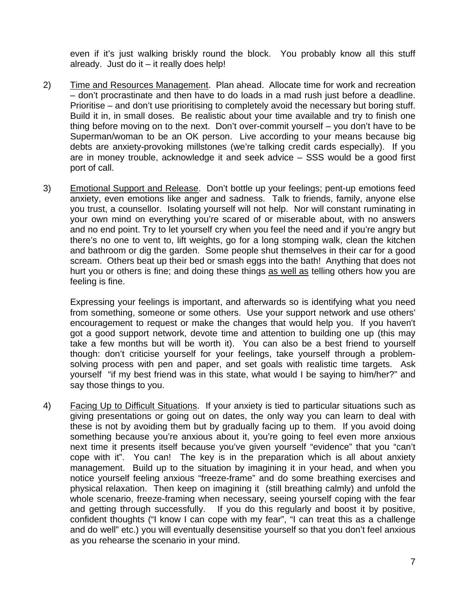even if it's just walking briskly round the block. You probably know all this stuff already. Just do it  $-$  it really does help!

- 2) Time and Resources Management. Plan ahead. Allocate time for work and recreation – don't procrastinate and then have to do loads in a mad rush just before a deadline. Prioritise – and don't use prioritising to completely avoid the necessary but boring stuff. Build it in, in small doses. Be realistic about your time available and try to finish one thing before moving on to the next. Don't over-commit yourself – you don't have to be Superman/woman to be an OK person. Live according to your means because big debts are anxiety-provoking millstones (we're talking credit cards especially). If you are in money trouble, acknowledge it and seek advice – SSS would be a good first port of call.
- 3) Emotional Support and Release. Don't bottle up your feelings; pent-up emotions feed anxiety, even emotions like anger and sadness. Talk to friends, family, anyone else you trust, a counsellor. Isolating yourself will not help. Nor will constant ruminating in your own mind on everything you're scared of or miserable about, with no answers and no end point. Try to let yourself cry when you feel the need and if you're angry but there's no one to vent to, lift weights, go for a long stomping walk, clean the kitchen and bathroom or dig the garden. Some people shut themselves in their car for a good scream. Others beat up their bed or smash eggs into the bath! Anything that does not hurt you or others is fine; and doing these things as well as telling others how you are feeling is fine.

Expressing your feelings is important, and afterwards so is identifying what you need from something, someone or some others. Use your support network and use others' encouragement to request or make the changes that would help you. If you haven't got a good support network, devote time and attention to building one up (this may take a few months but will be worth it). You can also be a best friend to yourself though: don't criticise yourself for your feelings, take yourself through a problemsolving process with pen and paper, and set goals with realistic time targets. Ask yourself "if my best friend was in this state, what would I be saying to him/her?" and say those things to you.

4) Facing Up to Difficult Situations. If your anxiety is tied to particular situations such as giving presentations or going out on dates, the only way you can learn to deal with these is not by avoiding them but by gradually facing up to them. If you avoid doing something because you're anxious about it, you're going to feel even more anxious next time it presents itself because you've given yourself "evidence" that you "can't cope with it". You can! The key is in the preparation which is all about anxiety management. Build up to the situation by imagining it in your head, and when you notice yourself feeling anxious "freeze-frame" and do some breathing exercises and physical relaxation. Then keep on imagining it (still breathing calmly) and unfold the whole scenario, freeze-framing when necessary, seeing yourself coping with the fear and getting through successfully. If you do this regularly and boost it by positive, confident thoughts ("I know I can cope with my fear", "I can treat this as a challenge and do well" etc.) you will eventually desensitise yourself so that you don't feel anxious as you rehearse the scenario in your mind.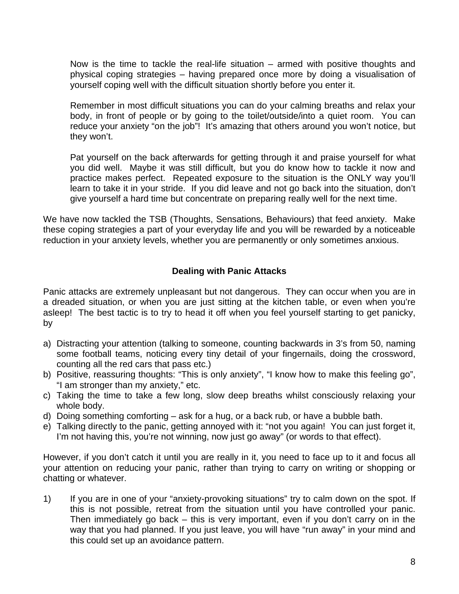Now is the time to tackle the real-life situation – armed with positive thoughts and physical coping strategies – having prepared once more by doing a visualisation of yourself coping well with the difficult situation shortly before you enter it.

Remember in most difficult situations you can do your calming breaths and relax your body, in front of people or by going to the toilet/outside/into a quiet room. You can reduce your anxiety "on the job"! It's amazing that others around you won't notice, but they won't.

Pat yourself on the back afterwards for getting through it and praise yourself for what you did well. Maybe it was still difficult, but you do know how to tackle it now and practice makes perfect. Repeated exposure to the situation is the ONLY way you'll learn to take it in your stride. If you did leave and not go back into the situation, don't give yourself a hard time but concentrate on preparing really well for the next time.

We have now tackled the TSB (Thoughts, Sensations, Behaviours) that feed anxiety. Make these coping strategies a part of your everyday life and you will be rewarded by a noticeable reduction in your anxiety levels, whether you are permanently or only sometimes anxious.

## **Dealing with Panic Attacks**

Panic attacks are extremely unpleasant but not dangerous. They can occur when you are in a dreaded situation, or when you are just sitting at the kitchen table, or even when you're asleep! The best tactic is to try to head it off when you feel yourself starting to get panicky, by

- a) Distracting your attention (talking to someone, counting backwards in 3's from 50, naming some football teams, noticing every tiny detail of your fingernails, doing the crossword, counting all the red cars that pass etc.)
- b) Positive, reassuring thoughts: "This is only anxiety", "I know how to make this feeling go", "I am stronger than my anxiety," etc.
- c) Taking the time to take a few long, slow deep breaths whilst consciously relaxing your whole body.
- d) Doing something comforting ask for a hug, or a back rub, or have a bubble bath.
- e) Talking directly to the panic, getting annoyed with it: "not you again! You can just forget it, I'm not having this, you're not winning, now just go away" (or words to that effect).

However, if you don't catch it until you are really in it, you need to face up to it and focus all your attention on reducing your panic, rather than trying to carry on writing or shopping or chatting or whatever.

1) If you are in one of your "anxiety-provoking situations" try to calm down on the spot. If this is not possible, retreat from the situation until you have controlled your panic. Then immediately go back – this is very important, even if you don't carry on in the way that you had planned. If you just leave, you will have "run away" in your mind and this could set up an avoidance pattern.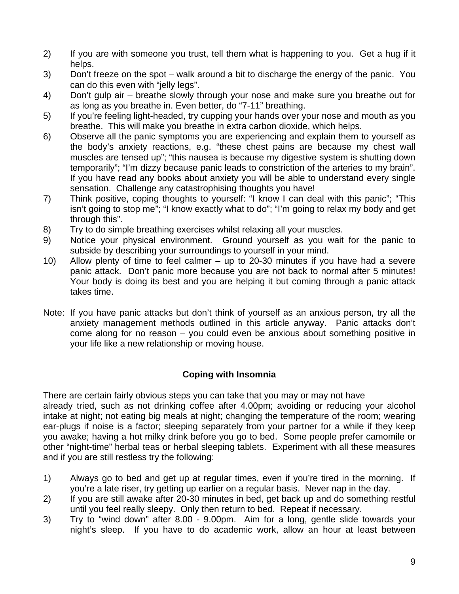- 2) If you are with someone you trust, tell them what is happening to you. Get a hug if it helps.
- 3) Don't freeze on the spot walk around a bit to discharge the energy of the panic. You can do this even with "jelly legs".
- 4) Don't gulp air breathe slowly through your nose and make sure you breathe out for as long as you breathe in. Even better, do "7-11" breathing.
- 5) If you're feeling light-headed, try cupping your hands over your nose and mouth as you breathe. This will make you breathe in extra carbon dioxide, which helps.
- 6) Observe all the panic symptoms you are experiencing and explain them to yourself as the body's anxiety reactions, e.g. "these chest pains are because my chest wall muscles are tensed up"; "this nausea is because my digestive system is shutting down temporarily"; "I'm dizzy because panic leads to constriction of the arteries to my brain". If you have read any books about anxiety you will be able to understand every single sensation. Challenge any catastrophising thoughts you have!
- 7) Think positive, coping thoughts to yourself: "I know I can deal with this panic"; "This isn't going to stop me"; "I know exactly what to do"; "I'm going to relax my body and get through this".
- 8) Try to do simple breathing exercises whilst relaxing all your muscles.
- 9) Notice your physical environment. Ground yourself as you wait for the panic to subside by describing your surroundings to yourself in your mind.
- 10) Allow plenty of time to feel calmer up to 20-30 minutes if you have had a severe panic attack. Don't panic more because you are not back to normal after 5 minutes! Your body is doing its best and you are helping it but coming through a panic attack takes time.
- Note: If you have panic attacks but don't think of yourself as an anxious person, try all the anxiety management methods outlined in this article anyway. Panic attacks don't come along for no reason – you could even be anxious about something positive in your life like a new relationship or moving house.

## **Coping with Insomnia**

There are certain fairly obvious steps you can take that you may or may not have already tried, such as not drinking coffee after 4.00pm; avoiding or reducing your alcohol intake at night; not eating big meals at night; changing the temperature of the room; wearing ear-plugs if noise is a factor; sleeping separately from your partner for a while if they keep you awake; having a hot milky drink before you go to bed. Some people prefer camomile or other "night-time" herbal teas or herbal sleeping tablets. Experiment with all these measures and if you are still restless try the following:

- 1) Always go to bed and get up at regular times, even if you're tired in the morning. If you're a late riser, try getting up earlier on a regular basis. Never nap in the day.
- 2) If you are still awake after 20-30 minutes in bed, get back up and do something restful until you feel really sleepy. Only then return to bed. Repeat if necessary.
- 3) Try to "wind down" after 8.00 9.00pm. Aim for a long, gentle slide towards your night's sleep. If you have to do academic work, allow an hour at least between